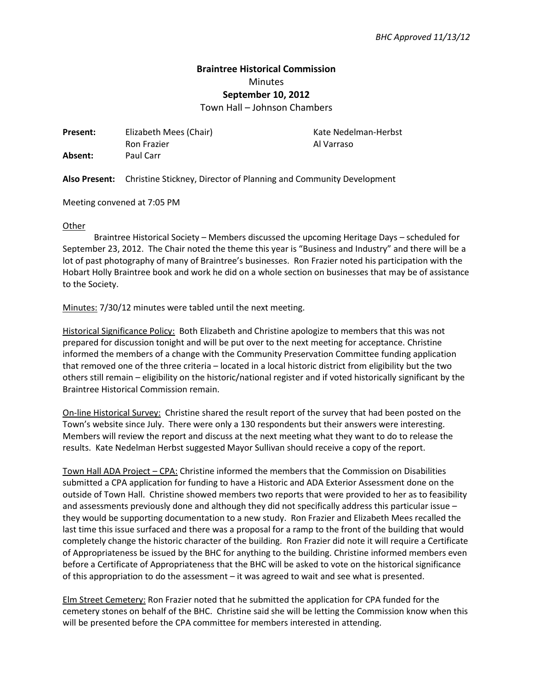## **Braintree Historical Commission**  Minutes **September 10, 2012**

Town Hall – Johnson Chambers

**Present:** Elizabeth Mees (Chair) **Kate Nedelman-Herbst** Ron Frazier **Al Varraso Absent:** Paul Carr

**Also Present:** Christine Stickney, Director of Planning and Community Development

Meeting convened at 7:05 PM

## **Other**

Braintree Historical Society – Members discussed the upcoming Heritage Days – scheduled for September 23, 2012. The Chair noted the theme this year is "Business and Industry" and there will be a lot of past photography of many of Braintree's businesses. Ron Frazier noted his participation with the Hobart Holly Braintree book and work he did on a whole section on businesses that may be of assistance to the Society.

Minutes: 7/30/12 minutes were tabled until the next meeting.

Historical Significance Policy: Both Elizabeth and Christine apologize to members that this was not prepared for discussion tonight and will be put over to the next meeting for acceptance. Christine informed the members of a change with the Community Preservation Committee funding application that removed one of the three criteria – located in a local historic district from eligibility but the two others still remain – eligibility on the historic/national register and if voted historically significant by the Braintree Historical Commission remain.

On-line Historical Survey: Christine shared the result report of the survey that had been posted on the Town's website since July. There were only a 130 respondents but their answers were interesting. Members will review the report and discuss at the next meeting what they want to do to release the results. Kate Nedelman Herbst suggested Mayor Sullivan should receive a copy of the report.

Town Hall ADA Project – CPA: Christine informed the members that the Commission on Disabilities submitted a CPA application for funding to have a Historic and ADA Exterior Assessment done on the outside of Town Hall. Christine showed members two reports that were provided to her as to feasibility and assessments previously done and although they did not specifically address this particular issue – they would be supporting documentation to a new study. Ron Frazier and Elizabeth Mees recalled the last time this issue surfaced and there was a proposal for a ramp to the front of the building that would completely change the historic character of the building. Ron Frazier did note it will require a Certificate of Appropriateness be issued by the BHC for anything to the building. Christine informed members even before a Certificate of Appropriateness that the BHC will be asked to vote on the historical significance of this appropriation to do the assessment – it was agreed to wait and see what is presented.

Elm Street Cemetery: Ron Frazier noted that he submitted the application for CPA funded for the cemetery stones on behalf of the BHC. Christine said she will be letting the Commission know when this will be presented before the CPA committee for members interested in attending.